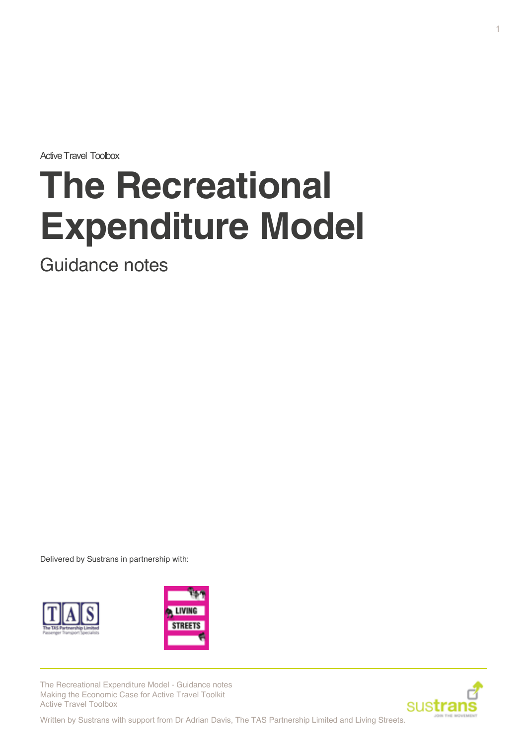Active Travel Toolbox

# **The Recreational Expenditure Model**

Guidance notes

Delivered by Sustrans in partnership with:





The Recreational Expenditure Model - Guidance notes Making the Economic Case for Active Travel Toolkit Active Travel Toolbox

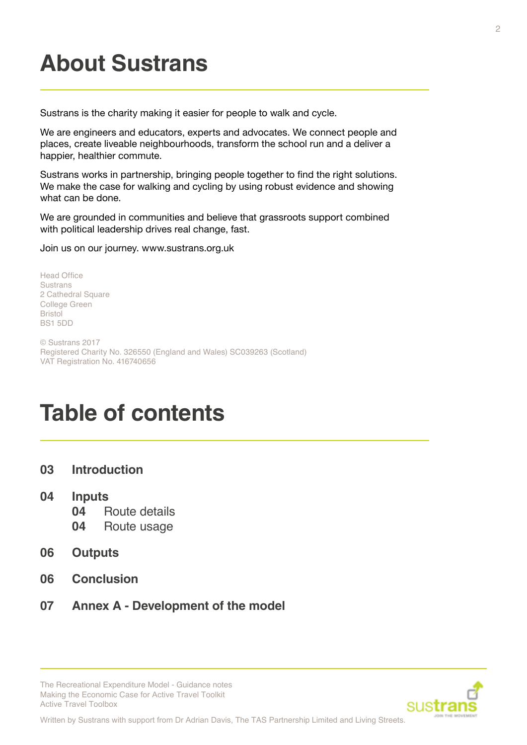# **About Sustrans**

Sustrans is the charity making it easier for people to walk and cycle.

We are engineers and educators, experts and advocates. We connect people and places, create liveable neighbourhoods, transform the school run and a deliver a happier, healthier commute.

Sustrans works in partnership, bringing people together to find the right solutions. We make the case for walking and cycling by using robust evidence and showing what can be done.

We are grounded in communities and believe that grassroots support combined with political leadership drives real change, fast.

Join us on our journey. www.sustrans.org.uk

Head Office **Sustrans** 2 Cathedral Square College Green Bristol BS1 5DD

© Sustrans 2017 Registered Charity No. 326550 (England and Wales) SC039263 (Scotland) VAT Registration No. 416740656

# **Table of contents**

- **03 [Introduction](#page-2-0)**
- **04 [Inputs](#page-3-0)**
	- **04** [Route details](#page-3-0)
	- **04** [Route usage](#page-3-0)
- **06 [Outputs](#page-5-0)**
- **06 [Conclusion](#page-5-0)**
- **07 Annex A Development of the model**



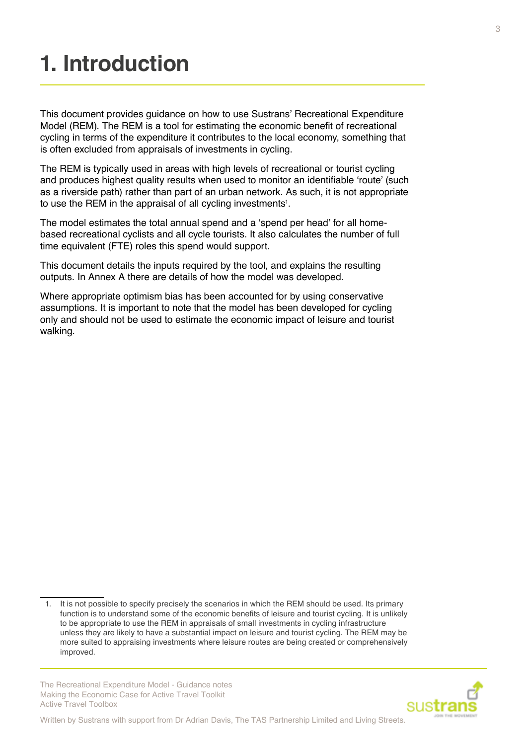# <span id="page-2-0"></span>**1. Introduction**

This document provides guidance on how to use Sustrans' Recreational Expenditure Model (REM). The REM is a tool for estimating the economic benefit of recreational cycling in terms of the expenditure it contributes to the local economy, something that is often excluded from appraisals of investments in cycling.

The REM is typically used in areas with high levels of recreational or tourist cycling and produces highest quality results when used to monitor an identifiable 'route' (such as a riverside path) rather than part of an urban network. As such, it is not appropriate to use the REM in the appraisal of all cycling investments $^{\text{\tiny{1}}}$ .

The model estimates the total annual spend and a 'spend per head' for all homebased recreational cyclists and all cycle tourists. It also calculates the number of full time equivalent (FTE) roles this spend would support.

This document details the inputs required by the tool, and explains the resulting outputs. In Annex A there are details of how the model was developed.

Where appropriate optimism bias has been accounted for by using conservative assumptions. It is important to note that the model has been developed for cycling only and should not be used to estimate the economic impact of leisure and tourist walking.

The Recreational Expenditure Model - Guidance notes Making the Economic Case for Active Travel Toolkit Active Travel Toolbox



<sup>1.</sup> It is not possible to specify precisely the scenarios in which the REM should be used. Its primary function is to understand some of the economic benefits of leisure and tourist cycling. It is unlikely to be appropriate to use the REM in appraisals of small investments in cycling infrastructure unless they are likely to have a substantial impact on leisure and tourist cycling. The REM may be more suited to appraising investments where leisure routes are being created or comprehensively improved.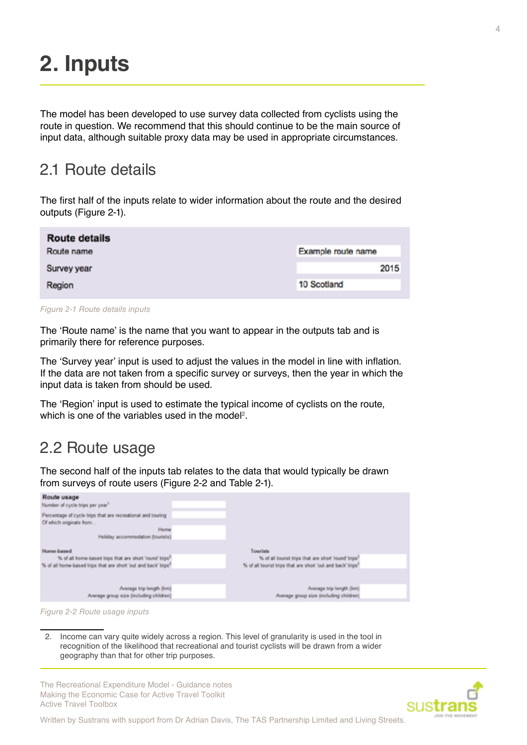# <span id="page-3-0"></span>**2. Inputs**

The model has been developed to use survey data collected from cyclists using the route in question. We recommend that this should continue to be the main source of input data, although suitable proxy data may be used in appropriate circumstances.

#### 2.1 Route details

The first half of the inputs relate to wider information about the route and the desired outputs (Figure 2-1).

| <b>Route details</b> |                    |      |
|----------------------|--------------------|------|
| Route name           | Example route name |      |
| Survey year          |                    | 2015 |
| Region               | 10 Scotland        |      |
|                      |                    |      |

*Figure 2-1 Route details inputs*

The 'Route name' is the name that you want to appear in the outputs tab and is primarily there for reference purposes.

The 'Survey year' input is used to adjust the values in the model in line with inflation. If the data are not taken from a specific survey or surveys, then the year in which the input data is taken from should be used.

The 'Region' input is used to estimate the typical income of cyclists on the route, which is one of the variables used in the model<sup>2</sup>.

#### 2.2 Route usage

The second half of the inputs tab relates to the data that would typically be drawn from surveys of route users (Figure 2-2 and Table 2-1).

| Route usage<br>Number of cycle trips per year"                                                 |                                                                         |  |
|------------------------------------------------------------------------------------------------|-------------------------------------------------------------------------|--|
| Percentage of cycle trips that are recreational and touring<br>Of which originate from<br>Home |                                                                         |  |
| Holiday accommodation (tourists)                                                               |                                                                         |  |
| Home-based                                                                                     | Tourists                                                                |  |
| % of all home-based trips that are short 'round' trips <sup>2</sup>                            | % of all tourist trips that are short 'round' trips'                    |  |
| % of all home-based trips that are short 'out and back' trips <sup>2</sup>                     | % of all tourist trips that are short 'out and back' trips <sup>1</sup> |  |
|                                                                                                |                                                                         |  |
| Average trip length (km)                                                                       | Average trip length (km)                                                |  |
| Average group size (including children)                                                        | Average group size (including children)                                 |  |
|                                                                                                |                                                                         |  |



2. Income can vary quite widely across a region. This level of granularity is used in the tool in recognition of the likelihood that recreational and tourist cyclists will be drawn from a wider geography than that for other trip purposes.

The Recreational Expenditure Model - Guidance notes Making the Economic Case for Active Travel Toolkit Active Travel Toolbox

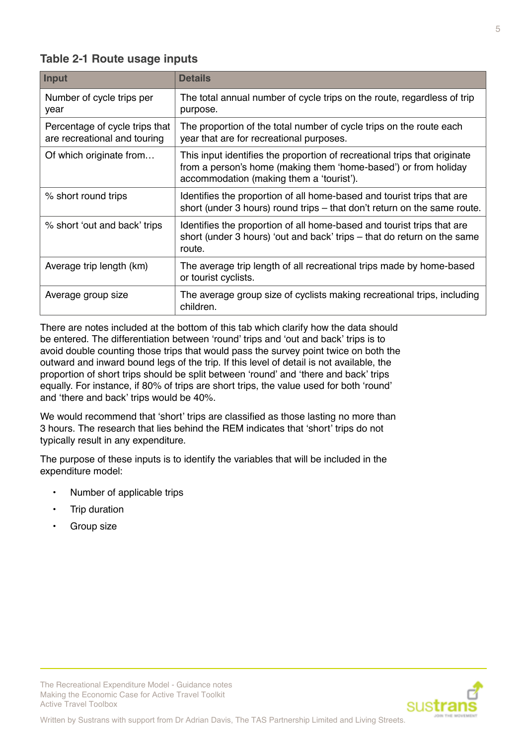#### **Table 2-1 Route usage inputs**

| Input                                                          | <b>Details</b>                                                                                                                                                                           |
|----------------------------------------------------------------|------------------------------------------------------------------------------------------------------------------------------------------------------------------------------------------|
| Number of cycle trips per<br>year                              | The total annual number of cycle trips on the route, regardless of trip<br>purpose.                                                                                                      |
| Percentage of cycle trips that<br>are recreational and touring | The proportion of the total number of cycle trips on the route each<br>year that are for recreational purposes.                                                                          |
| Of which originate from                                        | This input identifies the proportion of recreational trips that originate<br>from a person's home (making them 'home-based') or from holiday<br>accommodation (making them a 'tourist'). |
| % short round trips                                            | Identifies the proportion of all home-based and tourist trips that are<br>short (under 3 hours) round trips – that don't return on the same route.                                       |
| % short 'out and back' trips                                   | Identifies the proportion of all home-based and tourist trips that are<br>short (under 3 hours) 'out and back' trips – that do return on the same<br>route.                              |
| Average trip length (km)                                       | The average trip length of all recreational trips made by home-based<br>or tourist cyclists.                                                                                             |
| Average group size                                             | The average group size of cyclists making recreational trips, including<br>children.                                                                                                     |

There are notes included at the bottom of this tab which clarify how the data should be entered. The differentiation between 'round' trips and 'out and back' trips is to avoid double counting those trips that would pass the survey point twice on both the outward and inward bound legs of the trip. If this level of detail is not available, the proportion of short trips should be split between 'round' and 'there and back' trips equally. For instance, if 80% of trips are short trips, the value used for both 'round' and 'there and back' trips would be 40%.

We would recommend that 'short' trips are classified as those lasting no more than 3 hours. The research that lies behind the REM indicates that 'short' trips do not typically result in any expenditure.

The purpose of these inputs is to identify the variables that will be included in the expenditure model:

• Number of applicable trips

The Recreational Expenditure Model - Guidance notes Making the Economic Case for Active Travel Toolkit

- Trip duration
- Group size

Active Travel Toolbox

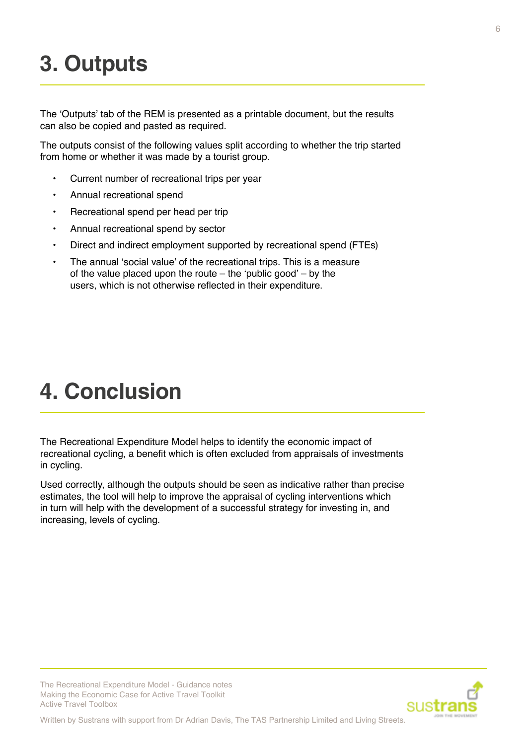# <span id="page-5-0"></span>**3. Outputs**

The 'Outputs' tab of the REM is presented as a printable document, but the results can also be copied and pasted as required.

The outputs consist of the following values split according to whether the trip started from home or whether it was made by a tourist group.

- Current number of recreational trips per year
- Annual recreational spend
- Recreational spend per head per trip
- Annual recreational spend by sector
- Direct and indirect employment supported by recreational spend (FTEs)
- The annual 'social value' of the recreational trips. This is a measure of the value placed upon the route – the 'public good' – by the users, which is not otherwise reflected in their expenditure.

### **4. Conclusion**

The Recreational Expenditure Model helps to identify the economic impact of recreational cycling, a benefit which is often excluded from appraisals of investments in cycling.

Used correctly, although the outputs should be seen as indicative rather than precise estimates, the tool will help to improve the appraisal of cycling interventions which in turn will help with the development of a successful strategy for investing in, and increasing, levels of cycling.



Written by Sustrans with support from Dr Adrian Davis, The TAS Partnership Limited and Living Streets.